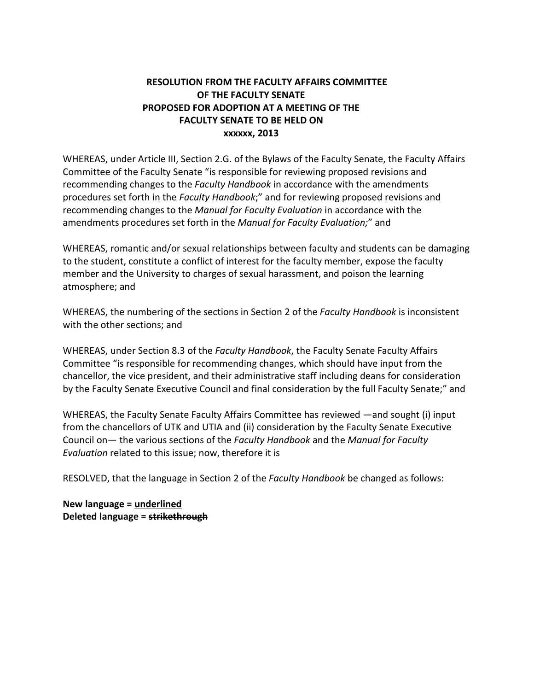## **RESOLUTION FROM THE FACULTY AFFAIRS COMMITTEE OF THE FACULTY SENATE PROPOSED FOR ADOPTION AT A MEETING OF THE FACULTY SENATE TO BE HELD ON xxxxxx, 2013**

WHEREAS, under Article III, Section 2.G. of the Bylaws of the Faculty Senate, the Faculty Affairs Committee of the Faculty Senate "is responsible for reviewing proposed revisions and recommending changes to the *Faculty Handbook* in accordance with the amendments procedures set forth in the *Faculty Handbook*;" and for reviewing proposed revisions and recommending changes to the *Manual for Faculty Evaluation* in accordance with the amendments procedures set forth in the *Manual for Faculty Evaluation;*" and

WHEREAS, romantic and/or sexual relationships between faculty and students can be damaging to the student, constitute a conflict of interest for the faculty member, expose the faculty member and the University to charges of sexual harassment, and poison the learning atmosphere; and

WHEREAS, the numbering of the sections in Section 2 of the *Faculty Handbook* is inconsistent with the other sections; and

WHEREAS, under Section 8.3 of the *Faculty Handbook*, the Faculty Senate Faculty Affairs Committee "is responsible for recommending changes, which should have input from the chancellor, the vice president, and their administrative staff including deans for consideration by the Faculty Senate Executive Council and final consideration by the full Faculty Senate;" and

WHEREAS, the Faculty Senate Faculty Affairs Committee has reviewed —and sought (i) input from the chancellors of UTK and UTIA and (ii) consideration by the Faculty Senate Executive Council on— the various sections of the *Faculty Handbook* and the *Manual for Faculty Evaluation* related to this issue; now, therefore it is

RESOLVED, that the language in Section 2 of the *Faculty Handbook* be changed as follows:

**New language = underlined Deleted language = strikethrough**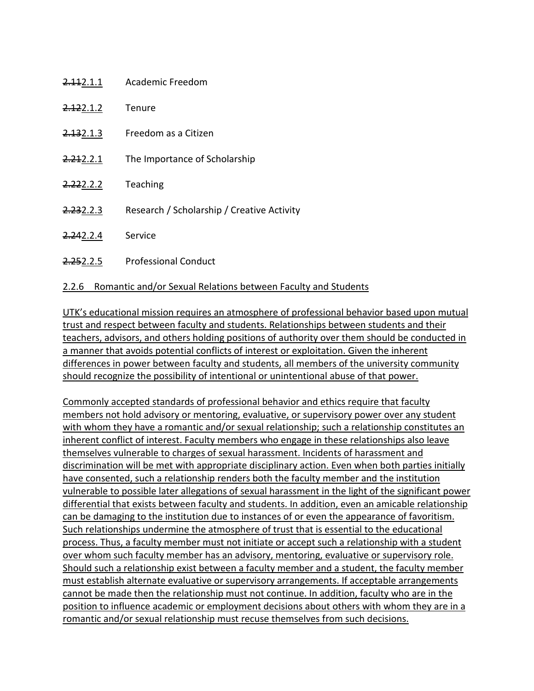| <del>2.11</del> 2.1.1 | Academic Freedom                           |
|-----------------------|--------------------------------------------|
| <del>2.12</del> 2.1.2 | Tenure                                     |
| <del>2.13</del> 2.1.3 | Freedom as a Citizen                       |
| 2.212.2.1             | The Importance of Scholarship              |
| <del>2.22</del> 2.2.2 | Teaching                                   |
| 2.232.2.3             | Research / Scholarship / Creative Activity |
| 2.242.2.4             | Service                                    |
| 2.252.2.5             | <b>Professional Conduct</b>                |

## 2.2.6 Romantic and/or Sexual Relations between Faculty and Students

UTK's educational mission requires an atmosphere of professional behavior based upon mutual trust and respect between faculty and students. Relationships between students and their teachers, advisors, and others holding positions of authority over them should be conducted in a manner that avoids potential conflicts of interest or exploitation. Given the inherent differences in power between faculty and students, all members of the university community should recognize the possibility of intentional or unintentional abuse of that power.

Commonly accepted standards of professional behavior and ethics require that faculty members not hold advisory or mentoring, evaluative, or supervisory power over any student with whom they have a romantic and/or sexual relationship; such a relationship constitutes an inherent conflict of interest. Faculty members who engage in these relationships also leave themselves vulnerable to charges of sexual harassment. Incidents of harassment and discrimination will be met with appropriate disciplinary action. Even when both parties initially have consented, such a relationship renders both the faculty member and the institution vulnerable to possible later allegations of sexual harassment in the light of the significant power differential that exists between faculty and students. In addition, even an amicable relationship can be damaging to the institution due to instances of or even the appearance of favoritism. Such relationships undermine the atmosphere of trust that is essential to the educational process. Thus, a faculty member must not initiate or accept such a relationship with a student over whom such faculty member has an advisory, mentoring, evaluative or supervisory role. Should such a relationship exist between a faculty member and a student, the faculty member must establish alternate evaluative or supervisory arrangements. If acceptable arrangements cannot be made then the relationship must not continue. In addition, faculty who are in the position to influence academic or employment decisions about others with whom they are in a romantic and/or sexual relationship must recuse themselves from such decisions.